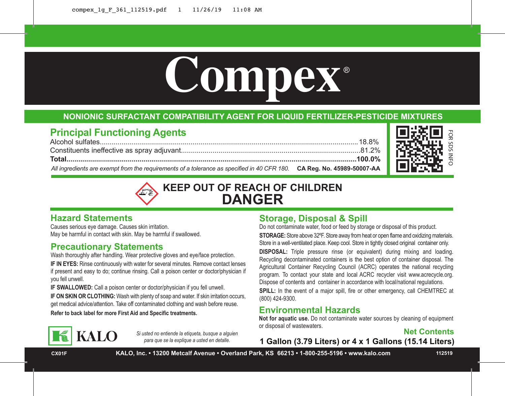

## **NONIONIC SURFACTANT COMPATIBILITY AGENT FOR LIQUID FERTILIZER-PESTICIDE MIXTURES**

# **Principal Functioning Agents**

Alcohol sulfates...................................................................................................................................18.8% Constituents ineffective as spray adjuvant...........................................................................................81.2% **Total...................................................................................................................................................100.0%** *All ingredients are exempt from the requirements of a tolerance as specified in 40 CFR 180.* **CA Reg. No. 45989-50007-AA**



# **KEEP OUT OF REACH OF CHILDREN DANGER**

## **Hazard Statements**

Causes serious eye damage. Causes skin irritation. May be harmful in contact with skin. May be harmful if swallowed.

## **Precautionary Statements**

**KALO** 

Wash thoroughly after handling. Wear protective gloves and eye/face protection.

**IF IN EYES:** Rinse continuously with water for several minutes. Remove contact lenses if present and easy to do; continue rinsing. Call a poison center or doctor/physician if you fell unwell.

**IF SWALLOWED:** Call a poison center or doctor/physician if you fell unwell. **IF ON SKIN OR CLOTHING:** Wash with plenty of soap and water. If skin irritation occurs, get medical advice/attention. Take off contaminated clothing and wash before reuse.

*Si usted no entiende la etiqueta, busque a alguien para que se la explique a usted en detalle.*

## **Storage, Disposal & Spill**

Do not contaminate water, food or feed by storage or disposal of this product. **STORAGE:** Store above 32ºF. Store away from heat or open flame and oxidizing materials. Store in a well-ventilated place. Keep cool. Store in tightly closed original container only.

**DISPOSAL:** Triple pressure rinse (or equivalent) during mixing and loading. Recycling decontaminated containers is the best option of container disposal. The Agricultural Container Recycling Council (ACRC) operates the national recycling program. To contact your state and local ACRC recycler visit www.acrecycle.org. Dispose of contents and container in accordance with local/national regulations. SPILL: In the event of a major spill, fire or other emergency, call CHEMTREC at (800) 424-9300.

## **Refer to back label for more First Aid and Specific treatments. Environmental Hazards**

**Not for aquatic use.** Do not contaminate water sources by cleaning of equipment or disposal of wastewaters.



**1 Gallon (3.79 Liters) or 4 x 1 Gallons (15.14 Liters)**

**CX01F KALO, Inc. • 13200 Metcalf Avenue • Overland Park, KS 66213 • 1-800-255-5196 • www.kalo.com 112519**